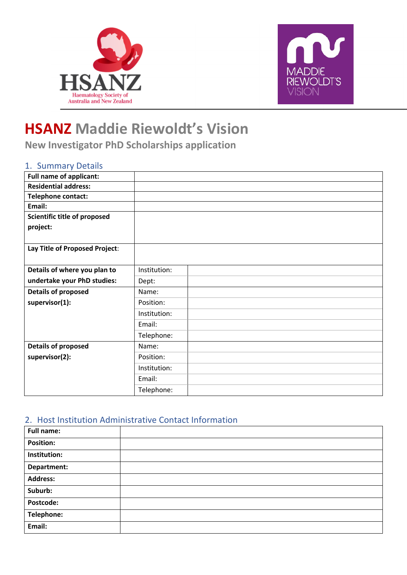



## **HSANZ Maddie Riewoldt's Vision**

**New Investigator PhD Scholarships application**

## 1. Summary Details

| <b>Full name of applicant:</b> |              |  |
|--------------------------------|--------------|--|
| <b>Residential address:</b>    |              |  |
| Telephone contact:             |              |  |
| Email:                         |              |  |
| Scientific title of proposed   |              |  |
| project:                       |              |  |
|                                |              |  |
| Lay Title of Proposed Project: |              |  |
|                                |              |  |
| Details of where you plan to   | Institution: |  |
| undertake your PhD studies:    | Dept:        |  |
| <b>Details of proposed</b>     | Name:        |  |
| supervisor(1):                 | Position:    |  |
|                                | Institution: |  |
|                                | Email:       |  |
|                                | Telephone:   |  |
| <b>Details of proposed</b>     | Name:        |  |
| supervisor(2):                 | Position:    |  |
|                                | Institution: |  |
|                                | Email:       |  |
|                                | Telephone:   |  |

## 2. Host Institution Administrative Contact Information

| <b>Full name:</b> |  |
|-------------------|--|
| <b>Position:</b>  |  |
| Institution:      |  |
| Department:       |  |
| <b>Address:</b>   |  |
| Suburb:           |  |
| Postcode:         |  |
| Telephone:        |  |
| Email:            |  |